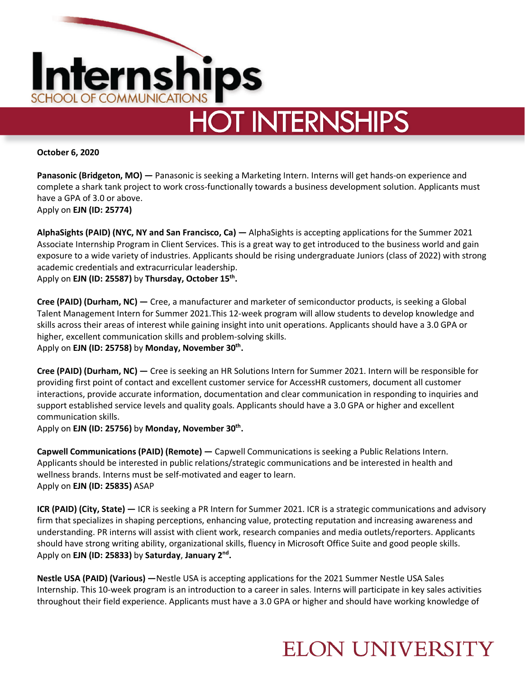

**October 6, 2020**

**Panasonic (Bridgeton, MO) —** Panasonic is seeking a Marketing Intern. Interns will get hands-on experience and complete a shark tank project to work cross-functionally towards a business development solution. Applicants must have a GPA of 3.0 or above. Apply on **EJN (ID: 25774)**

**AlphaSights (PAID) (NYC, NY and San Francisco, Ca) —** AlphaSights is accepting applications for the Summer 2021 Associate Internship Program in Client Services. This is a great way to get introduced to the business world and gain exposure to a wide variety of industries. Applicants should be rising undergraduate Juniors (class of 2022) with strong academic credentials and extracurricular leadership. Apply on **EJN (ID: 25587)** by **Thursday, October 15th.** 

**Cree (PAID) (Durham, NC) —** Cree, a manufacturer and marketer of semiconductor products, is seeking a Global Talent Management Intern for Summer 2021.This 12-week program will allow students to develop knowledge and skills across their areas of interest while gaining insight into unit operations. Applicants should have a 3.0 GPA or higher, excellent communication skills and problem-solving skills. Apply on **EJN (ID: 25758)** by **Monday, November 30<sup>th</sup>.** 

**Cree (PAID) (Durham, NC) —** Cree is seeking an HR Solutions Intern for Summer 2021. Intern will be responsible for providing first point of contact and excellent customer service for AccessHR customers, document all customer interactions, provide accurate information, documentation and clear communication in responding to inquiries and support established service levels and quality goals. Applicants should have a 3.0 GPA or higher and excellent communication skills.

Apply on **EJN (ID: 25756)** by **Monday, November 30<sup>th</sup>.** 

**Capwell Communications (PAID) (Remote) —** Capwell Communications is seeking a Public Relations Intern. Applicants should be interested in public relations/strategic communications and be interested in health and wellness brands. Interns must be self-motivated and eager to learn. Apply on **EJN (ID: 25835)** ASAP

**ICR (PAID) (City, State) —** ICR is seeking a PR Intern for Summer 2021. ICR is a strategic communications and advisory firm that specializes in shaping perceptions, enhancing value, protecting reputation and increasing awareness and understanding. PR interns will assist with client work, research companies and media outlets/reporters. Applicants should have strong writing ability, organizational skills, fluency in Microsoft Office Suite and good people skills. Apply on **EJN (ID: 25833)** by **Saturday**, **January 2nd.** 

**Nestle USA (PAID) (Various) —**Nestle USA is accepting applications for the 2021 Summer Nestle USA Sales Internship. This 10-week program is an introduction to a career in sales. Interns will participate in key sales activities throughout their field experience. Applicants must have a 3.0 GPA or higher and should have working knowledge of

## **ELON UNIVERSITY**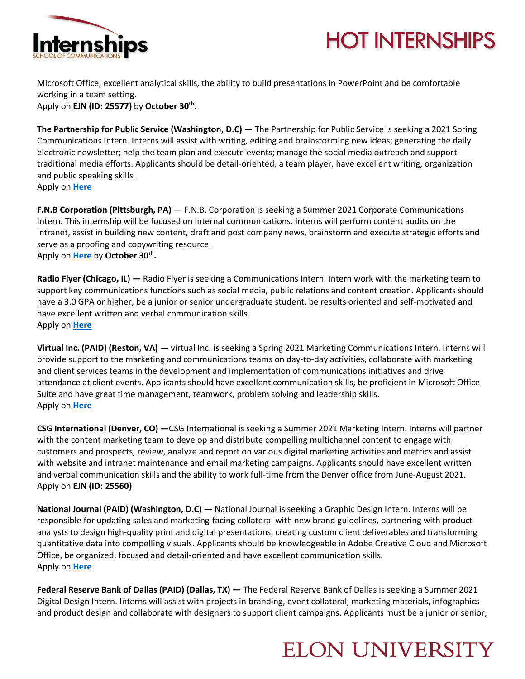



Microsoft Office, excellent analytical skills, the ability to build presentations in PowerPoint and be comfortable working in a team setting.

Apply on **EJN (ID: 25577)** by **October 30th.**

**The Partnership for Public Service (Washington, D.C) —** The Partnership for Public Service is seeking a 2021 Spring Communications Intern. Interns will assist with writing, editing and brainstorming new ideas; generating the daily electronic newsletter; help the team plan and execute events; manage the social media outreach and support traditional media efforts. Applicants should be detail-oriented, a team player, have excellent writing, organization and public speaking skills. Apply on **Here**

**F.N.B Corporation (Pittsburgh, PA) —** F.N.B. Corporation is seeking a Summer 2021 Corporate Communications Intern. This internship will be focused on internal communications. Interns will perform content audits on the intranet, assist in building new content, draft and post company news, brainstorm and execute strategic efforts and serve as a proofing and copywriting resource. Apply on **Here** by **October 30<sup>th</sup>.** 

**Radio Flyer (Chicago, IL) —** Radio Flyer is seeking a Communications Intern. Intern work with the marketing team to support key communications functions such as social media, public relations and content creation. Applicants should have a 3.0 GPA or higher, be a junior or senior undergraduate student, be results oriented and self-motivated and have excellent written and verbal communication skills. Apply on **Here**

**Virtual Inc. (PAID) (Reston, VA) —** virtual Inc. is seeking a Spring 2021 Marketing Communications Intern. Interns will provide support to the marketing and communications teams on day-to-day activities, collaborate with marketing and client services teams in the development and implementation of communications initiatives and drive attendance at client events. Applicants should have excellent communication skills, be proficient in Microsoft Office Suite and have great time management, teamwork, problem solving and leadership skills. Apply on **Here**

**CSG International (Denver, CO) —**CSG International is seeking a Summer 2021 Marketing Intern. Interns will partner with the content marketing team to develop and distribute compelling multichannel content to engage with customers and prospects, review, analyze and report on various digital marketing activities and metrics and assist with website and intranet maintenance and email marketing campaigns. Applicants should have excellent written and verbal communication skills and the ability to work full-time from the Denver office from June-August 2021. Apply on **EJN (ID: 25560)** 

**National Journal (PAID) (Washington, D.C) —** National Journal is seeking a Graphic Design Intern. Interns will be responsible for updating sales and marketing-facing collateral with new brand guidelines, partnering with product analysts to design high-quality print and digital presentations, creating custom client deliverables and transforming quantitative data into compelling visuals. Applicants should be knowledgeable in Adobe Creative Cloud and Microsoft Office, be organized, focused and detail-oriented and have excellent communication skills. Apply on **Here**

**Federal Reserve Bank of Dallas (PAID) (Dallas, TX) —** The Federal Reserve Bank of Dallas is seeking a Summer 2021 Digital Design Intern. Interns will assist with projects in branding, event collateral, marketing materials, infographics and product design and collaborate with designers to support client campaigns. Applicants must be a junior or senior,

## **ELON UNIVERSITY**